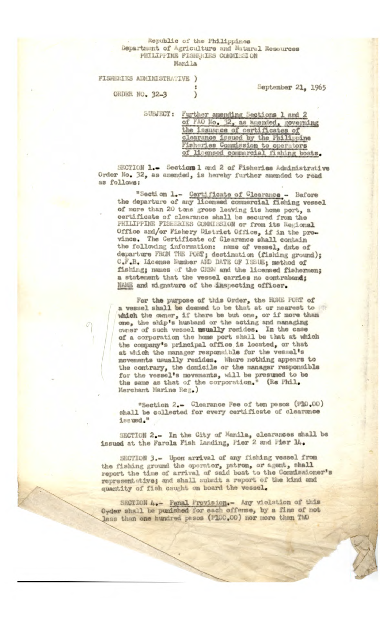## Republic of the Philippines Department of Agriculture and Matural Resources PHILIPPINE FISHERIES COMMISSION Manila

## FISHERIES ADMINISTRATIVE )

September 21, 1965

ORDER NO. 32-3

| SUBJECT: | Further amending Sections 1 and 2     |
|----------|---------------------------------------|
|          | of FAO No. 32, as amended, governing  |
|          | the issuance of certificates of       |
|          | clearance issued by the Philippine    |
|          | lisheries Commission to operators     |
|          | of licensed commercial fishing boats. |

SECTION 1.- Sections 1 and 2 of Fisheries Administrative Order No. 32, as amended, is hereby further amended to read as follows:

"Section 1.- Certificate of Clearance - Before the departure of any licensed commercial fishing vessel of more than 20 tons gross leaving its home port, a certificate of clearance shall be secured from the PHILIPPINE FISHERIES COMMISSION or from its Regional Office and/or Fishery District Office, if in the province. The Certificate of Clearance shall contain<br>the following information: name of vessel, date of departure FROM THE FORT; destination (fishing ground); C.F.B. License Number AND DATE OF ISSUE: method of fishing; names of the CREW and the licensed fishermen; a statement that the vessel carries no contraband; NAME and signature of the inspecting officer.

For the purpose of this Order, the HOME PORT of a vessel shall be deemed to be that at or nearest to which the owner, if there be but one, or if more than<br>one, the ship's husband or the acting and managing owner of such vessel usually resides. In the case of a corporation the home port shall be that at which the company's principal office is located, or that at which the manager responsible for the vessel's movements usually resides. Where nothing appears to the contrary, the domicile or the manager responsible for the vessel's movements, will be presumed to be the same as that of the corporation." (Re Phil. Merchant Marine Reg.)

"Section 2.- Clearance Fee of ten pesos (P10.00) shall be collected for every certificate of clearance issued."

SECTION 2.- In the City of Manila, clearances shall be issued at the Farola Fish Landing, Pier 2 and Pier 14.

SECTION 3.- Upon arrival of any fishing vessel from the fishing ground the operator, patron, or agent, shall report the time of arrival of said boat to the Commissioner's representative; and shall submit a report of the kind and quantity of fish caught on board the vessel.

SECTION A.- Penal Provision.- Any violation of this Order shall be punished for each offense, by a fine of not less than one hundred pesos (P100.00) nor more than TWO